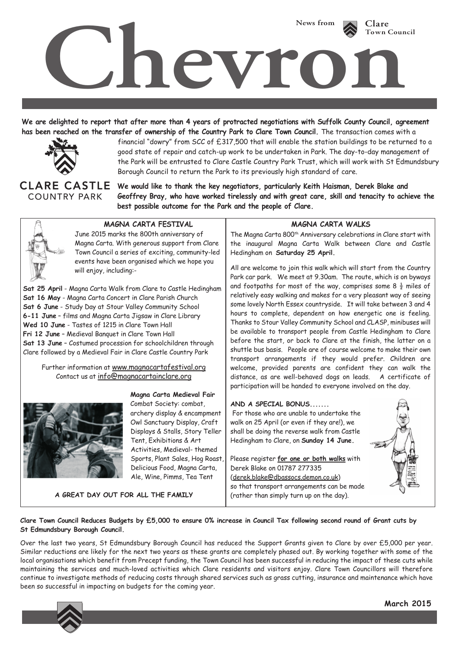

**We are delighted to report that after more than 4 years of protracted negotiations with Suffolk County Council, agreement has been reached on the transfer of ownership of the Country Park to Clare Town Council.** The transaction comes with a



financial "dowry" from SCC of £317,500 that will enable the station buildings to be returned to a good state of repair and catch-up work to be undertaken in Park. The day-to-day management of the Park will be entrusted to Clare Castle Country Park Trust, which will work with St Edmundsbury Borough Council to return the Park to its previously high standard of care.

**COUNTRY PARK** 

**We would like to thank the key negotiators, particularly Keith Haisman, Derek Blake and Geoffrey Bray, who have worked tirelessly and with great care, skill and tenacity to achieve the best possible outcome for the Park and the people of Clare.**



## **MAGNA CARTA FESTIVAL MAGNA CARTA WALKS**

June 2015 marks the 800th anniversary of Magna Carta. With generous support from Clare Town Council a series of exciting, community-led events have been organised which we hope you will enjoy, including:-

**Sat 25 April** - Magna Carta Walk from Clare to Castle Hedingham **Sat 16 May** - Magna Carta Concert in Clare Parish Church **Sat 6 June** - Study Day at Stour Valley Community School **6-11 June** – films and Magna Carta Jigsaw in Clare Library **Wed 10 June** - Tastes of 1215 in Clare Town Hall **Fri 12 June** – Medieval Banquet in Clare Town Hall **Sat 13 June** – Costumed procession for schoolchildren through Clare followed by a Medieval Fair in Clare Castle Country Park

Further information at www.magnacartafestival.org Contact us at info@magnacartainclare.org



**Magna Carta Medieval Fair** Combat Society: combat, archery display & encampment Owl Sanctuary Display, Craft Displays & Stalls, Story Teller Tent, Exhibitions & Art Activities, Medieval- themed Sports, Plant Sales, Hog Roast, Delicious Food, Magna Carta, Ale, Wine, Pimms, Tea Tent

**A GREAT DAY OUT FOR ALL THE FAMILY**

The Magna Carta 800th Anniversary celebrations in Clare start with the inaugural Magna Carta Walk between Clare and Castle Hedingham on **Saturday 25 April.**

All are welcome to join this walk which will start from the Country Park car park. We meet at 9.30am. The route, which is on byways and footpaths for most of the way, comprises some 8  $\frac{1}{2}$  miles of relatively easy walking and makes for a very pleasant way of seeing some lovely North Essex countryside. It will take between 3 and 4 hours to complete, dependent on how energetic one is feeling. Thanks to Stour Valley Community School and CLASP, minibuses will be available to transport people from Castle Hedingham to Clare before the start, or back to Clare at the finish, the latter on a shuttle bus basis. People are of course welcome to make their own transport arrangements if they would prefer. Children are welcome, provided parents are confident they can walk the distance, as are well-behaved dogs on leads. A certificate of participation will be handed to everyone involved on the day.

**AND A SPECIAL BONUS.......** 

 For those who are unable to undertake the walk on 25 April (or even if they are!), we shall be doing the reverse walk from Castle Hedingham to Clare, on **Sunday 14 June.**

Please register **for one or both walks** with Derek Blake on 01787 277335 (derek.blake@dbassocs.demon.co.uk) so that transport arrangements can be made (rather than simply turn up on the day).



## **Clare Town Council Reduces Budgets by £5,000 to ensure 0% increase in Council Tax following second round of Grant cuts by St Edmundsbury Borough Council.**

Over the last two years, St Edmundsbury Borough Council has reduced the Support Grants given to Clare by over £5,000 per year. Similar reductions are likely for the next two years as these grants are completely phased out. By working together with some of the local organisations which benefit from Precept funding, the Town Council has been successful in reducing the impact of these cuts while maintaining the services and much-loved activities which Clare residents and visitors enjoy. Clare Town Councillors will therefore continue to investigate methods of reducing costs through shared services such as grass cutting, insurance and maintenance which have been so successful in impacting on budgets for the coming year.